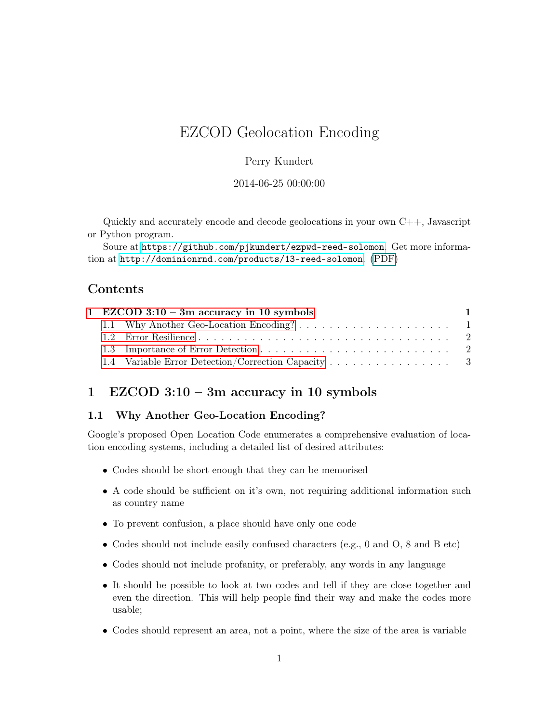# EZCOD Geolocation Encoding

### Perry Kundert

#### 2014-06-25 00:00:00

Quickly and accurately encode and decode geolocations in your own  $C_{++}$ , Javascript or Python program.

Soure at <https://github.com/pjkundert/ezpwd-reed-solomon>. Get more information at <http://dominionrnd.com/products/13-reed-solomon>. (PDF)

## Contents

|  | $\blacksquare$                                                                                   |
|--|--------------------------------------------------------------------------------------------------|
|  |                                                                                                  |
|  |                                                                                                  |
|  |                                                                                                  |
|  |                                                                                                  |
|  | 1 EZCOD $3:10 - 3m$ accuracy in 10 symbols<br>1.4 Variable Error Detection/Correction Capacity 3 |

# <span id="page-0-0"></span>1 EZCOD 3:10 – 3m accuracy in 10 symbols

### <span id="page-0-1"></span>1.1 Why Another Geo-Location Encoding?

Google's proposed Open Location Code enumerates a comprehensive evaluation of location encoding systems, including a detailed list of desired attributes:

- Codes should be short enough that they can be memorised
- A code should be sufficient on it's own, not requiring additional information such as country name
- To prevent confusion, a place should have only one code
- Codes should not include easily confused characters (e.g., 0 and O, 8 and B etc)
- Codes should not include profanity, or preferably, any words in any language
- It should be possible to look at two codes and tell if they are close together and even the direction. This will help people find their way and make the codes more usable;
- Codes should represent an area, not a point, where the size of the area is variable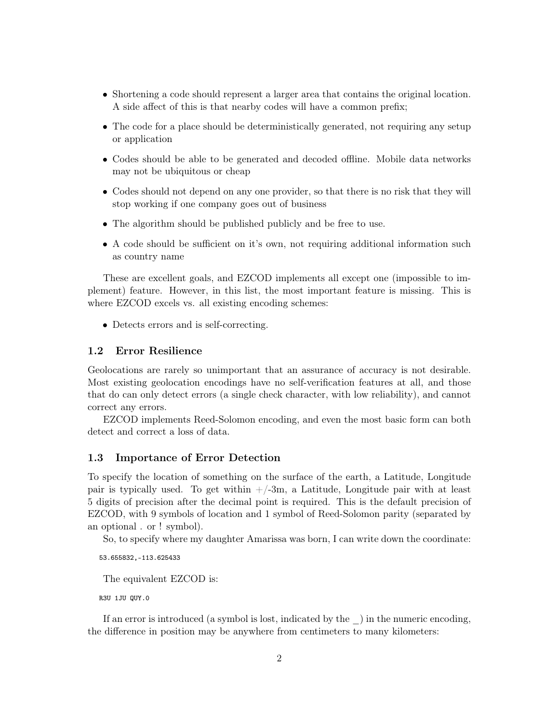- Shortening a code should represent a larger area that contains the original location. A side affect of this is that nearby codes will have a common prefix;
- The code for a place should be deterministically generated, not requiring any setup or application
- Codes should be able to be generated and decoded offline. Mobile data networks may not be ubiquitous or cheap
- Codes should not depend on any one provider, so that there is no risk that they will stop working if one company goes out of business
- The algorithm should be published publicly and be free to use.
- A code should be sufficient on it's own, not requiring additional information such as country name

These are excellent goals, and EZCOD implements all except one (impossible to implement) feature. However, in this list, the most important feature is missing. This is where EZCOD excels vs. all existing encoding schemes:

• Detects errors and is self-correcting.

### <span id="page-1-0"></span>1.2 Error Resilience

Geolocations are rarely so unimportant that an assurance of accuracy is not desirable. Most existing geolocation encodings have no self-verification features at all, and those that do can only detect errors (a single check character, with low reliability), and cannot correct any errors.

EZCOD implements Reed-Solomon encoding, and even the most basic form can both detect and correct a loss of data.

### <span id="page-1-1"></span>1.3 Importance of Error Detection

To specify the location of something on the surface of the earth, a Latitude, Longitude pair is typically used. To get within  $+/-3m$ , a Latitude, Longitude pair with at least 5 digits of precision after the decimal point is required. This is the default precision of EZCOD, with 9 symbols of location and 1 symbol of Reed-Solomon parity (separated by an optional . or ! symbol).

So, to specify where my daughter Amarissa was born, I can write down the coordinate:

53.655832,-113.625433

The equivalent EZCOD is:

R3U 1JU QUY.0

If an error is introduced (a symbol is lost, indicated by the \_) in the numeric encoding, the difference in position may be anywhere from centimeters to many kilometers: